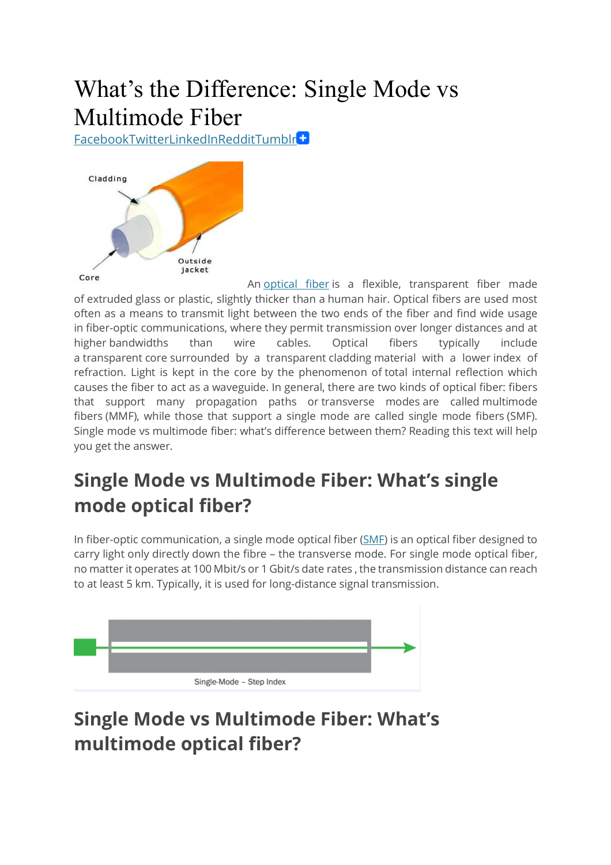# What's the Difference: Single Mode vs Multimode Fiber

FacebookTwitterLinkedInRedditTumblr



An optical fiber is a flexible, transparent fiber made of extruded glass or plastic, slightly thicker than a human hair. Optical fibers are used most often as a means to transmit light between the two ends of the fiber and find wide usage in fiber-optic communications, where they permit transmission over longer distances and at higher bandwidths than wire cables. Optical fibers typically include a transparent core surrounded by a transparent cladding material with a lower index of refraction. Light is kept in the core by the phenomenon of total internal reflection which causes the fiber to act as a waveguide. In general, there are two kinds of optical fiber: fibers that support many propagation paths or transverse modes are called multimode fibers (MMF), while those that support a single mode are called single mode fibers (SMF). Single mode vs multimode fiber: what's difference between them? Reading this text will help you get the answer.

## **Single Mode vs Multimode Fiber: What's single mode optical fiber?**

In fiber-optic communication, a single mode optical fiber (SMF) is an optical fiber designed to carry light only directly down the fibre – the transverse mode. For single mode optical fiber, no matter it operates at 100 Mbit/s or 1 Gbit/s date rates , the transmission distance can reach to at least 5 km. Typically, it is used for long-distance signal transmission.



## **Single Mode vs Multimode Fiber: What's multimode optical fiber?**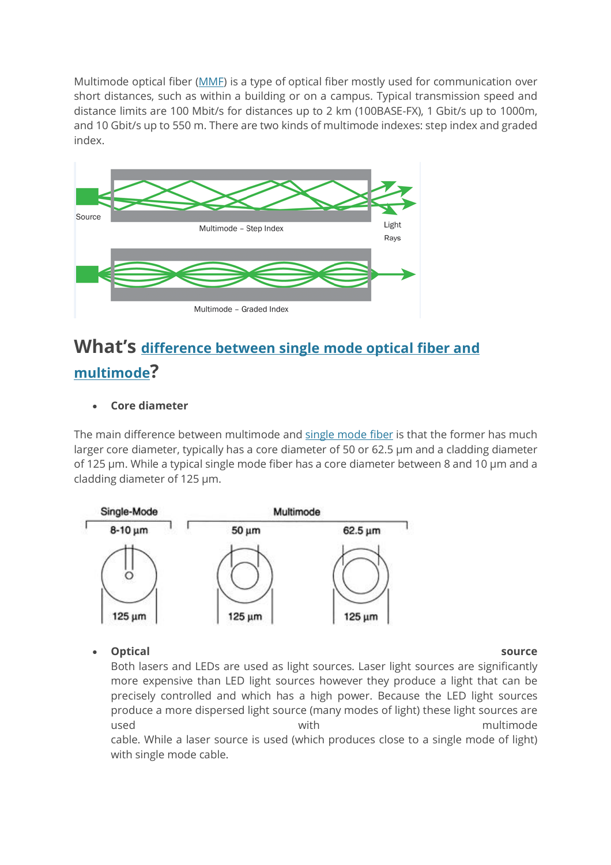Multimode optical fiber (MMF) is a type of optical fiber mostly used for communication over short distances, such as within a building or on a campus. Typical transmission speed and distance limits are 100 Mbit/s for distances up to 2 km (100BASE-FX), 1 Gbit/s up to 1000m, and 10 Gbit/s up to 550 m. There are two kinds of multimode indexes: step index and graded index.



### **What's difference between single mode optical fiber and multimode?**

### **Core diameter**

The main difference between multimode and single mode fiber is that the former has much larger core diameter, typically has a core diameter of 50 or 62.5 µm and a cladding diameter of 125 µm. While a typical single mode fiber has a core diameter between 8 and 10 µm and a cladding diameter of 125 µm.



**Optical source**

Both lasers and LEDs are used as light sources. Laser light sources are significantly more expensive than LED light sources however they produce a light that can be precisely controlled and which has a high power. Because the LED light sources produce a more dispersed light source (many modes of light) these light sources are used **with** with multimode cable. While a laser source is used (which produces close to a single mode of light) with single mode cable.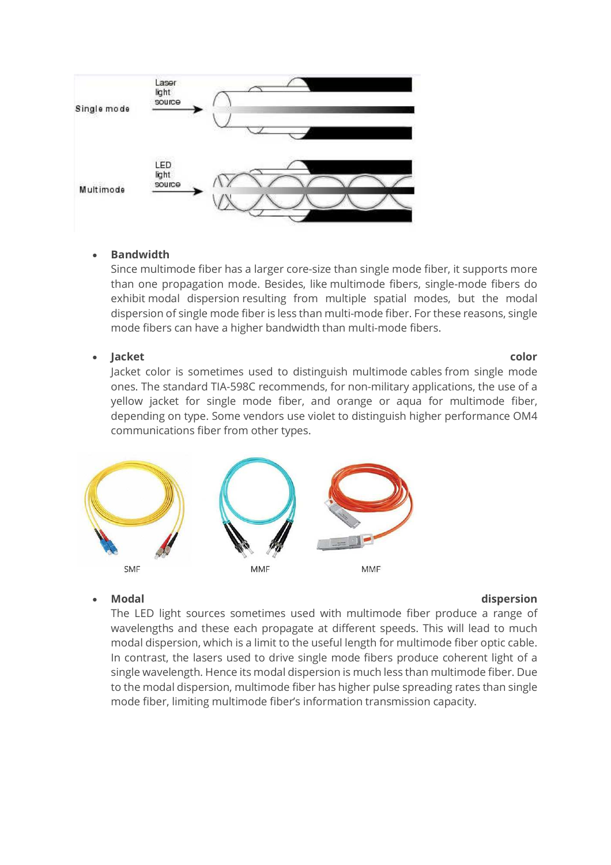

### **Bandwidth**

Since multimode fiber has a larger core-size than single mode fiber, it supports more than one propagation mode. Besides, like multimode fibers, single-mode fibers do exhibit modal dispersion resulting from multiple spatial modes, but the modal dispersion of single mode fiber is less than multi-mode fiber. For these reasons, single mode fibers can have a higher bandwidth than multi-mode fibers.

#### **Jacket color**

Jacket color is sometimes used to distinguish multimode cables from single mode ones. The standard TIA-598C recommends, for non-military applications, the use of a yellow jacket for single mode fiber, and orange or aqua for multimode fiber, depending on type. Some vendors use violet to distinguish higher performance OM4 communications fiber from other types.



#### **Modal dispersion**

The LED light sources sometimes used with multimode fiber produce a range of wavelengths and these each propagate at different speeds. This will lead to much modal dispersion, which is a limit to the useful length for multimode fiber optic cable. In contrast, the lasers used to drive single mode fibers produce coherent light of a single wavelength. Hence its modal dispersion is much less than multimode fiber. Due to the modal dispersion, multimode fiber has higher pulse spreading rates than single mode fiber, limiting multimode fiber's information transmission capacity.